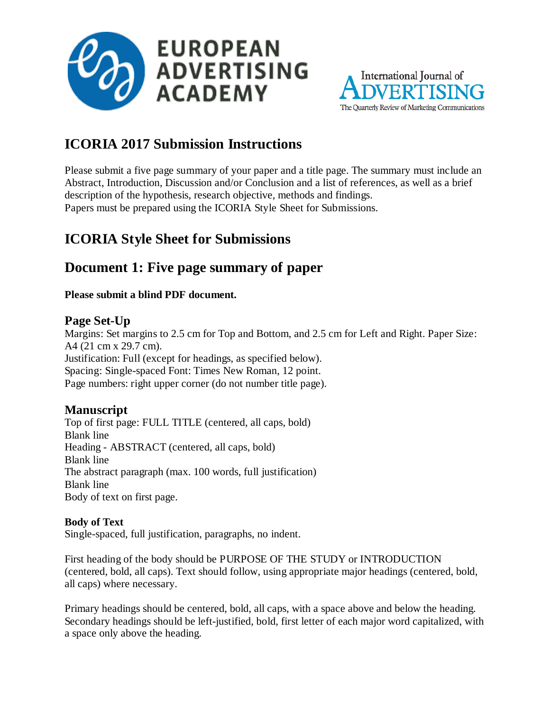



# **ICORIA 2017 Submission Instructions**

Please submit a five page summary of your paper and a title page. The summary must include an Abstract, Introduction, Discussion and/or Conclusion and a list of references, as well as a brief description of the hypothesis, research objective, methods and findings. Papers must be prepared using the ICORIA Style Sheet for Submissions.

# **ICORIA Style Sheet for Submissions**

## **Document 1: Five page summary of paper**

#### **Please submit a blind PDF document.**

## **Page Set-Up**

Margins: Set margins to 2.5 cm for Top and Bottom, and 2.5 cm for Left and Right. Paper Size: A4 (21 cm x 29.7 cm). Justification: Full (except for headings, as specified below). Spacing: Single-spaced Font: Times New Roman, 12 point. Page numbers: right upper corner (do not number title page).

## **Manuscript**

Top of first page: FULL TITLE (centered, all caps, bold) Blank line Heading - ABSTRACT (centered, all caps, bold) Blank line The abstract paragraph (max. 100 words, full justification) Blank line Body of text on first page.

#### **Body of Text**

Single-spaced, full justification, paragraphs, no indent.

First heading of the body should be PURPOSE OF THE STUDY or INTRODUCTION (centered, bold, all caps). Text should follow, using appropriate major headings (centered, bold, all caps) where necessary.

Primary headings should be centered, bold, all caps, with a space above and below the heading. Secondary headings should be left-justified, bold, first letter of each major word capitalized, with a space only above the heading.